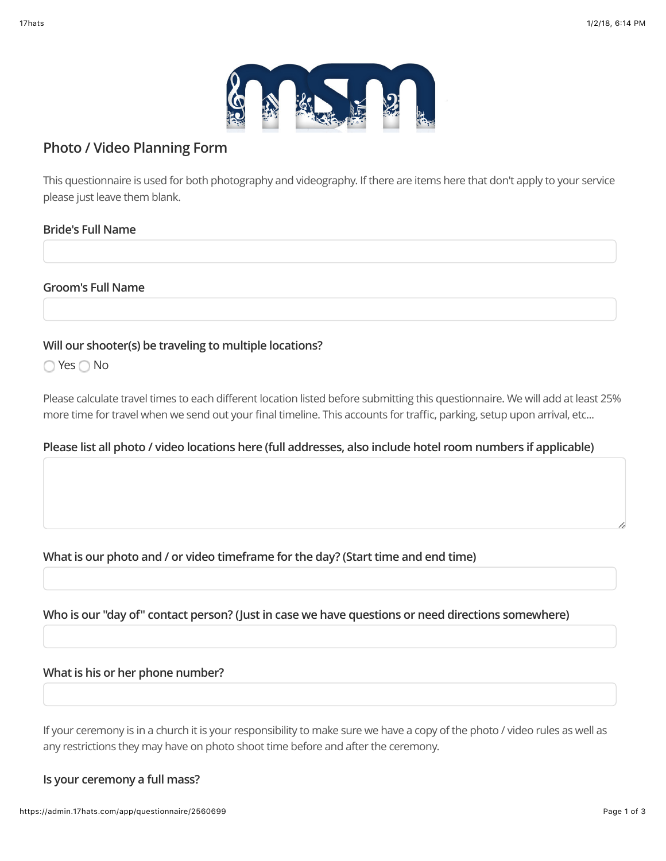

# **Photo / Video Planning Form**

This questionnaire is used for both photography and videography. If there are items here that don't apply to your service please just leave them blank.

# **Bride's Full Name**

### **Groom's Full Name**

# **Will our shooter(s) be traveling to multiple locations?**

 $\bigcirc$  Yes  $\bigcirc$  No

Please calculate travel times to each different location listed before submitting this questionnaire. We will add at least 25% more time for travel when we send out your final timeline. This accounts for traffic, parking, setup upon arrival, etc...

# **Please list all photo / video locations here (full addresses, also include hotel room numbers if applicable)**

# **What is our photo and / or video timeframe for the day? (Start time and end time)**

# **Who is our "day of" contact person? (Just in case we have questions or need directions somewhere)**

#### **What is his or her phone number?**

If your ceremony is in a church it is your responsibility to make sure we have a copy of the photo / video rules as well as any restrictions they may have on photo shoot time before and after the ceremony.

# **Is your ceremony a full mass?**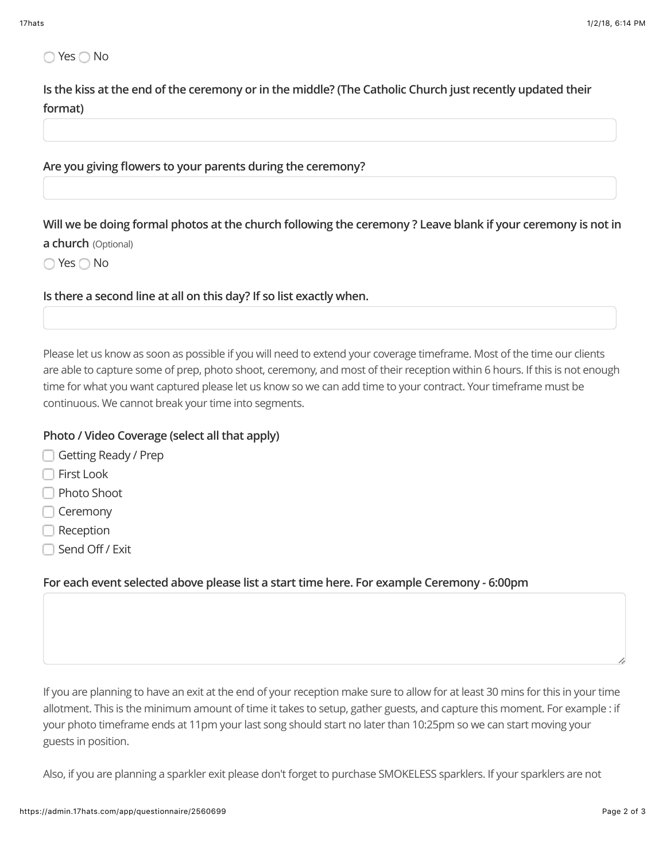# ◯ Yes ◯ No

**Is the kiss at the end of the ceremony or in the middle? (The Catholic Church just recently updated their format)**

#### **Are you giving flowers to your parents during the ceremony?**

**Will we be doing formal photos at the church following the ceremony ? Leave blank if your ceremony is not in**

#### **a church** (Optional)

◯ Yes ◯ No

**Is there a second line at all on this day? If so list exactly when.**

Please let us know as soon as possible if you will need to extend your coverage timeframe. Most of the time our clients are able to capture some of prep, photo shoot, ceremony, and most of their reception within 6 hours. If this is not enough time for what you want captured please let us know so we can add time to your contract. Your timeframe must be continuous. We cannot break your time into segments.

### **Photo / Video Coverage (select all that apply)**

- Getting Ready / Prep
- First Look
- □ Photo Shoot
- **□ Ceremony**
- **□** Reception
- □ Send Off / Exit

# **For each event selected above please list a start time here. For example Ceremony - 6:00pm**

If you are planning to have an exit at the end of your reception make sure to allow for at least 30 mins for this in your time allotment. This is the minimum amount of time it takes to setup, gather guests, and capture this moment. For example : if your photo timeframe ends at 11pm your last song should start no later than 10:25pm so we can start moving your guests in position.

Also, if you are planning a sparkler exit please don't forget to purchase SMOKELESS sparklers. If your sparklers are not